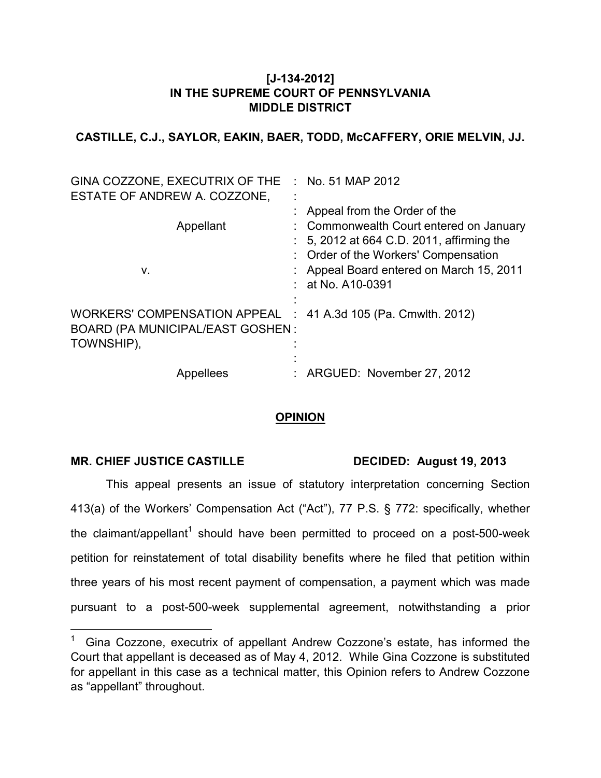## **[J-134-2012] IN THE SUPREME COURT OF PENNSYLVANIA MIDDLE DISTRICT**

**CASTILLE, C.J., SAYLOR, EAKIN, BAER, TODD, McCAFFERY, ORIE MELVIN, JJ.** 

| GINA COZZONE, EXECUTRIX OF THE<br>ESTATE OF ANDREW A. COZZONE,                                                         | $\therefore$ No. 51 MAP 2012                                                                                                                                                                                                    |
|------------------------------------------------------------------------------------------------------------------------|---------------------------------------------------------------------------------------------------------------------------------------------------------------------------------------------------------------------------------|
| Appellant<br>ν.                                                                                                        | : Appeal from the Order of the<br>: Commonwealth Court entered on January<br>5, 2012 at 664 C.D. 2011, affirming the<br>: Order of the Workers' Compensation<br>: Appeal Board entered on March 15, 2011<br>$:$ at No. A10-0391 |
| WORKERS' COMPENSATION APPEAL : 41 A.3d 105 (Pa. Cmwlth. 2012)<br><b>BOARD (PA MUNICIPAL/EAST GOSHEN:</b><br>TOWNSHIP), |                                                                                                                                                                                                                                 |
| <b>Appellees</b>                                                                                                       | : ARGUED: November 27, 2012                                                                                                                                                                                                     |

## **OPINION**

## MR. CHIEF JUSTICE CASTILLE DECIDED: August 19, 2013

 $\overline{a}$ 

This appeal presents an issue of statutory interpretation concerning Section 413(a) of the Workers' Compensation Act ("Act"), 77 P.S. § 772: specifically, whether the claimant/appellant<sup>1</sup> should have been permitted to proceed on a post-500-week petition for reinstatement of total disability benefits where he filed that petition within three years of his most recent payment of compensation, a payment which was made pursuant to a post-500-week supplemental agreement, notwithstanding a prior

<sup>1</sup> Gina Cozzone, executrix of appellant Andrew Cozzone's estate, has informed the Court that appellant is deceased as of May 4, 2012. While Gina Cozzone is substituted for appellant in this case as a technical matter, this Opinion refers to Andrew Cozzone as "appellant" throughout.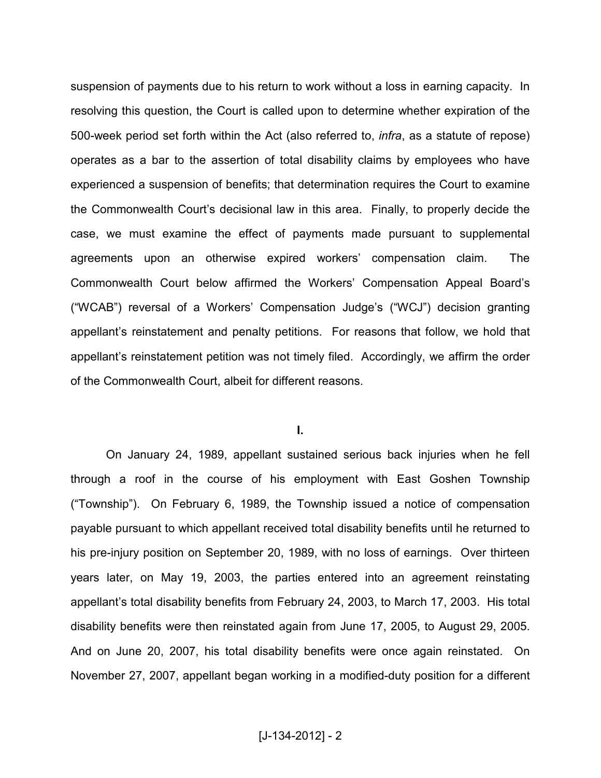suspension of payments due to his return to work without a loss in earning capacity. In resolving this question, the Court is called upon to determine whether expiration of the 500-week period set forth within the Act (also referred to, *infra*, as a statute of repose) operates as a bar to the assertion of total disability claims by employees who have experienced a suspension of benefits; that determination requires the Court to examine the Commonwealth Court's decisional law in this area. Finally, to properly decide the case, we must examine the effect of payments made pursuant to supplemental agreements upon an otherwise expired workers' compensation claim. The Commonwealth Court below affirmed the Workers' Compensation Appeal Board's ("WCAB") reversal of a Workers' Compensation Judge's ("WCJ") decision granting appellant's reinstatement and penalty petitions. For reasons that follow, we hold that appellant's reinstatement petition was not timely filed. Accordingly, we affirm the order of the Commonwealth Court, albeit for different reasons.

**I.** 

On January 24, 1989, appellant sustained serious back injuries when he fell through a roof in the course of his employment with East Goshen Township ("Township"). On February 6, 1989, the Township issued a notice of compensation payable pursuant to which appellant received total disability benefits until he returned to his pre-injury position on September 20, 1989, with no loss of earnings. Over thirteen years later, on May 19, 2003, the parties entered into an agreement reinstating appellant's total disability benefits from February 24, 2003, to March 17, 2003. His total disability benefits were then reinstated again from June 17, 2005, to August 29, 2005. And on June 20, 2007, his total disability benefits were once again reinstated. On November 27, 2007, appellant began working in a modified-duty position for a different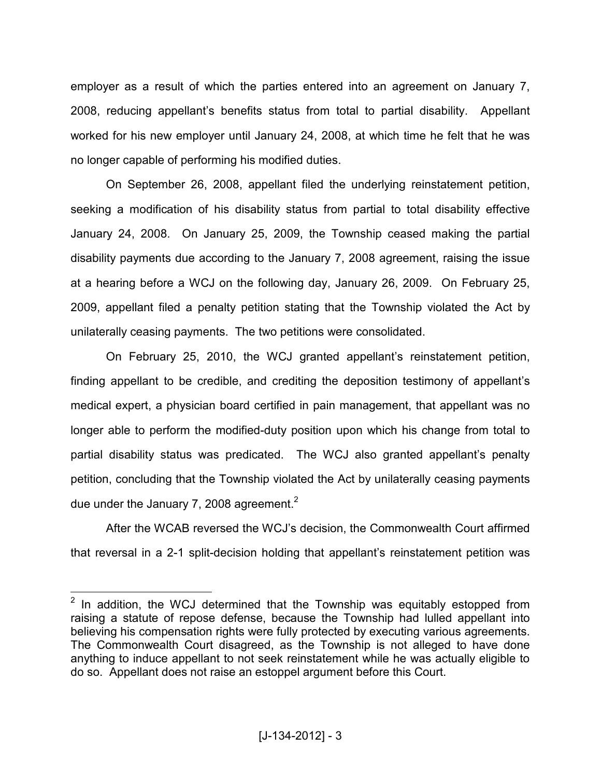employer as a result of which the parties entered into an agreement on January 7, 2008, reducing appellant's benefits status from total to partial disability. Appellant worked for his new employer until January 24, 2008, at which time he felt that he was no longer capable of performing his modified duties.

On September 26, 2008, appellant filed the underlying reinstatement petition, seeking a modification of his disability status from partial to total disability effective January 24, 2008. On January 25, 2009, the Township ceased making the partial disability payments due according to the January 7, 2008 agreement, raising the issue at a hearing before a WCJ on the following day, January 26, 2009. On February 25, 2009, appellant filed a penalty petition stating that the Township violated the Act by unilaterally ceasing payments. The two petitions were consolidated.

On February 25, 2010, the WCJ granted appellant's reinstatement petition, finding appellant to be credible, and crediting the deposition testimony of appellant's medical expert, a physician board certified in pain management, that appellant was no longer able to perform the modified-duty position upon which his change from total to partial disability status was predicated. The WCJ also granted appellant's penalty petition, concluding that the Township violated the Act by unilaterally ceasing payments due under the January 7, 2008 agreement. $2$ 

After the WCAB reversed the WCJ's decision, the Commonwealth Court affirmed that reversal in a 2-1 split-decision holding that appellant's reinstatement petition was

**ENEX 12 TE 12 TE 2018**<br><sup>2</sup> In addition, the WCJ determined that the Township was equitably estopped from raising a statute of repose defense, because the Township had lulled appellant into believing his compensation rights were fully protected by executing various agreements. The Commonwealth Court disagreed, as the Township is not alleged to have done anything to induce appellant to not seek reinstatement while he was actually eligible to do so. Appellant does not raise an estoppel argument before this Court.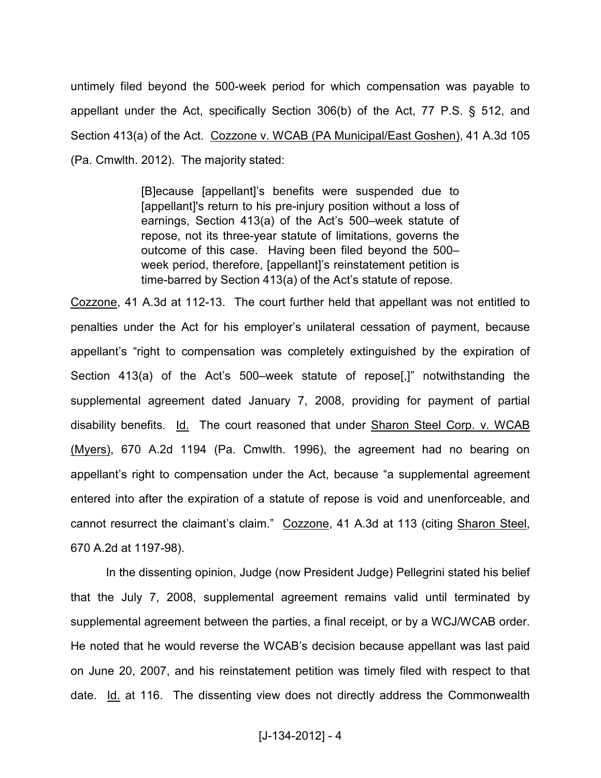untimely filed beyond the 500-week period for which compensation was payable to appellant under the Act, specifically Section 306(b) of the Act, 77 P.S. § 512, and Section 413(a) of the Act. Cozzone v. WCAB (PA Municipal/East Goshen), 41 A.3d 105 (Pa. Cmwlth. 2012). The majority stated:

> [B]ecause [appellant]'s benefits were suspended due to [appellant]'s return to his pre-injury position without a loss of earnings, Section 413(a) of the Act's 500–week statute of repose, not its three-year statute of limitations, governs the outcome of this case. Having been filed beyond the 500– week period, therefore, [appellant]'s reinstatement petition is time-barred by Section 413(a) of the Act's statute of repose.

Cozzone, 41 A.3d at 112-13. The court further held that appellant was not entitled to penalties under the Act for his employer's unilateral cessation of payment, because appellant's "right to compensation was completely extinguished by the expiration of Section 413(a) of the Act's 500–week statute of repose[,]" notwithstanding the supplemental agreement dated January 7, 2008, providing for payment of partial disability benefits. Id. The court reasoned that under Sharon Steel Corp. v. WCAB (Myers), 670 A.2d 1194 (Pa. Cmwlth. 1996), the agreement had no bearing on appellant's right to compensation under the Act, because "a supplemental agreement entered into after the expiration of a statute of repose is void and unenforceable, and cannot resurrect the claimant's claim." Cozzone, 41 A.3d at 113 (citing Sharon Steel, 670 A.2d at 1197-98).

 In the dissenting opinion, Judge (now President Judge) Pellegrini stated his belief that the July 7, 2008, supplemental agreement remains valid until terminated by supplemental agreement between the parties, a final receipt, or by a WCJ/WCAB order. He noted that he would reverse the WCAB's decision because appellant was last paid on June 20, 2007, and his reinstatement petition was timely filed with respect to that date. Id. at 116. The dissenting view does not directly address the Commonwealth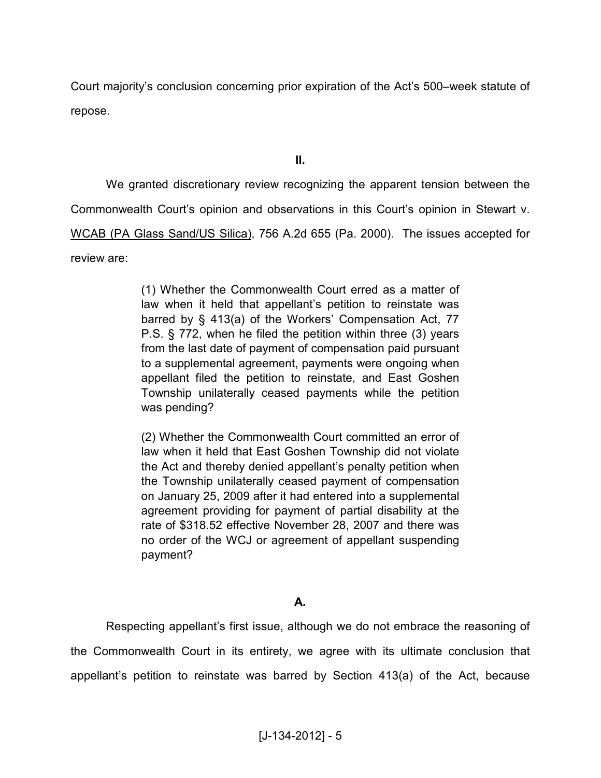Court majority's conclusion concerning prior expiration of the Act's 500–week statute of repose.

**II.** 

 We granted discretionary review recognizing the apparent tension between the Commonwealth Court's opinion and observations in this Court's opinion in Stewart v. WCAB (PA Glass Sand/US Silica), 756 A.2d 655 (Pa. 2000). The issues accepted for review are:

> (1) Whether the Commonwealth Court erred as a matter of law when it held that appellant's petition to reinstate was barred by § 413(a) of the Workers' Compensation Act, 77 P.S. § 772, when he filed the petition within three (3) years from the last date of payment of compensation paid pursuant to a supplemental agreement, payments were ongoing when appellant filed the petition to reinstate, and East Goshen Township unilaterally ceased payments while the petition was pending?

> (2) Whether the Commonwealth Court committed an error of law when it held that East Goshen Township did not violate the Act and thereby denied appellant's penalty petition when the Township unilaterally ceased payment of compensation on January 25, 2009 after it had entered into a supplemental agreement providing for payment of partial disability at the rate of \$318.52 effective November 28, 2007 and there was no order of the WCJ or agreement of appellant suspending payment?

## **A.**

 Respecting appellant's first issue, although we do not embrace the reasoning of the Commonwealth Court in its entirety, we agree with its ultimate conclusion that appellant's petition to reinstate was barred by Section 413(a) of the Act, because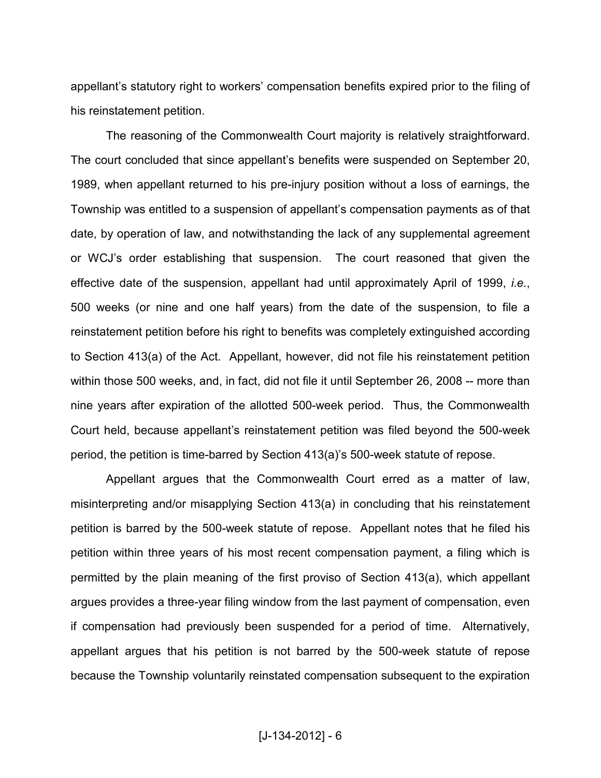appellant's statutory right to workers' compensation benefits expired prior to the filing of his reinstatement petition.

The reasoning of the Commonwealth Court majority is relatively straightforward. The court concluded that since appellant's benefits were suspended on September 20, 1989, when appellant returned to his pre-injury position without a loss of earnings, the Township was entitled to a suspension of appellant's compensation payments as of that date, by operation of law, and notwithstanding the lack of any supplemental agreement or WCJ's order establishing that suspension. The court reasoned that given the effective date of the suspension, appellant had until approximately April of 1999, *i.e.*, 500 weeks (or nine and one half years) from the date of the suspension, to file a reinstatement petition before his right to benefits was completely extinguished according to Section 413(a) of the Act. Appellant, however, did not file his reinstatement petition within those 500 weeks, and, in fact, did not file it until September 26, 2008 -- more than nine years after expiration of the allotted 500-week period. Thus, the Commonwealth Court held, because appellant's reinstatement petition was filed beyond the 500-week period, the petition is time-barred by Section 413(a)'s 500-week statute of repose.

Appellant argues that the Commonwealth Court erred as a matter of law, misinterpreting and/or misapplying Section 413(a) in concluding that his reinstatement petition is barred by the 500-week statute of repose. Appellant notes that he filed his petition within three years of his most recent compensation payment, a filing which is permitted by the plain meaning of the first proviso of Section 413(a), which appellant argues provides a three-year filing window from the last payment of compensation, even if compensation had previously been suspended for a period of time. Alternatively, appellant argues that his petition is not barred by the 500-week statute of repose because the Township voluntarily reinstated compensation subsequent to the expiration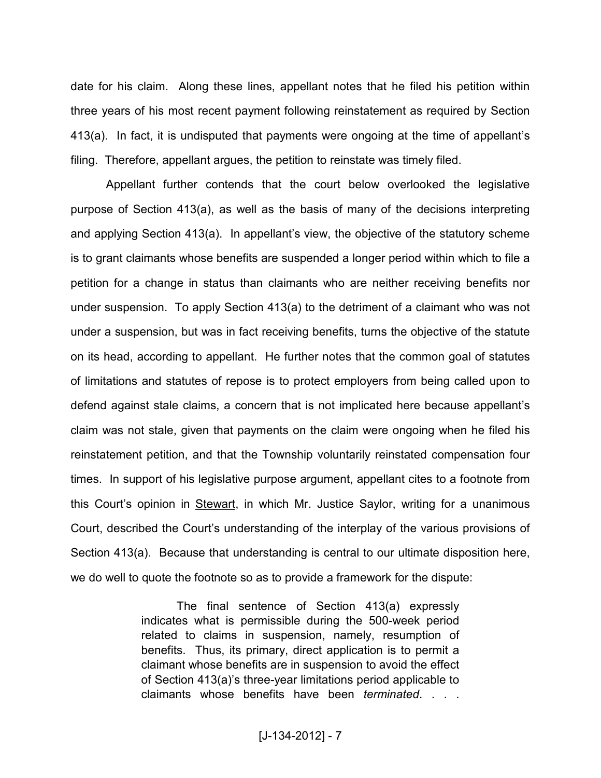date for his claim. Along these lines, appellant notes that he filed his petition within three years of his most recent payment following reinstatement as required by Section 413(a). In fact, it is undisputed that payments were ongoing at the time of appellant's filing. Therefore, appellant argues, the petition to reinstate was timely filed.

Appellant further contends that the court below overlooked the legislative purpose of Section 413(a), as well as the basis of many of the decisions interpreting and applying Section 413(a). In appellant's view, the objective of the statutory scheme is to grant claimants whose benefits are suspended a longer period within which to file a petition for a change in status than claimants who are neither receiving benefits nor under suspension. To apply Section 413(a) to the detriment of a claimant who was not under a suspension, but was in fact receiving benefits, turns the objective of the statute on its head, according to appellant. He further notes that the common goal of statutes of limitations and statutes of repose is to protect employers from being called upon to defend against stale claims, a concern that is not implicated here because appellant's claim was not stale, given that payments on the claim were ongoing when he filed his reinstatement petition, and that the Township voluntarily reinstated compensation four times. In support of his legislative purpose argument, appellant cites to a footnote from this Court's opinion in Stewart, in which Mr. Justice Saylor, writing for a unanimous Court, described the Court's understanding of the interplay of the various provisions of Section 413(a). Because that understanding is central to our ultimate disposition here, we do well to quote the footnote so as to provide a framework for the dispute:

> The final sentence of Section 413(a) expressly indicates what is permissible during the 500-week period related to claims in suspension, namely, resumption of benefits. Thus, its primary, direct application is to permit a claimant whose benefits are in suspension to avoid the effect of Section 413(a)'s three-year limitations period applicable to claimants whose benefits have been *terminated*. . . .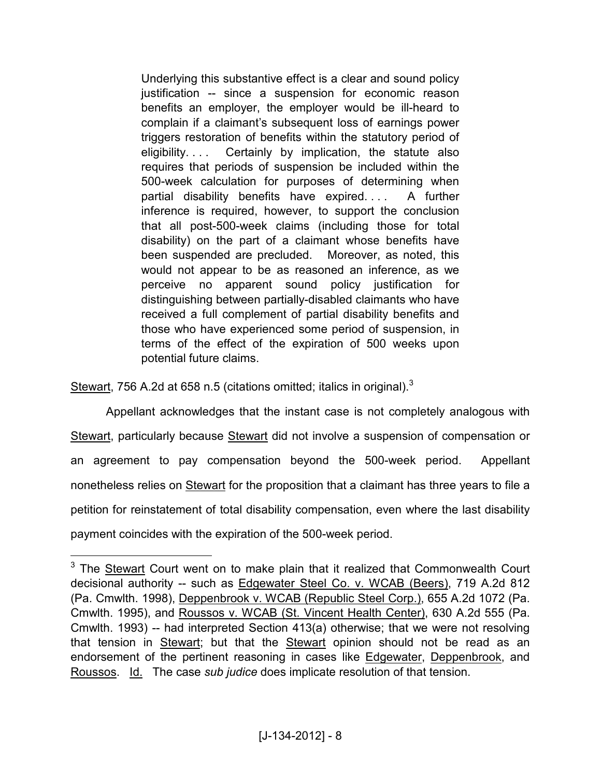Underlying this substantive effect is a clear and sound policy justification -- since a suspension for economic reason benefits an employer, the employer would be ill-heard to complain if a claimant's subsequent loss of earnings power triggers restoration of benefits within the statutory period of eligibility. . . . Certainly by implication, the statute also requires that periods of suspension be included within the 500-week calculation for purposes of determining when partial disability benefits have expired. . . . A further inference is required, however, to support the conclusion that all post-500-week claims (including those for total disability) on the part of a claimant whose benefits have been suspended are precluded. Moreover, as noted, this would not appear to be as reasoned an inference, as we perceive no apparent sound policy justification for distinguishing between partially-disabled claimants who have received a full complement of partial disability benefits and those who have experienced some period of suspension, in terms of the effect of the expiration of 500 weeks upon potential future claims.

Stewart, 756 A.2d at 658 n.5 (citations omitted; italics in original). $3$ 

 $\overline{a}$ 

Appellant acknowledges that the instant case is not completely analogous with Stewart, particularly because Stewart did not involve a suspension of compensation or an agreement to pay compensation beyond the 500-week period. Appellant nonetheless relies on **Stewart** for the proposition that a claimant has three years to file a petition for reinstatement of total disability compensation, even where the last disability payment coincides with the expiration of the 500-week period.

<sup>&</sup>lt;sup>3</sup> The **Stewart** Court went on to make plain that it realized that Commonwealth Court decisional authority -- such as Edgewater Steel Co. v. WCAB (Beers), 719 A.2d 812 (Pa. Cmwlth. 1998), Deppenbrook v. WCAB (Republic Steel Corp.), 655 A.2d 1072 (Pa. Cmwlth. 1995), and Roussos v. WCAB (St. Vincent Health Center), 630 A.2d 555 (Pa. Cmwlth. 1993) -- had interpreted Section 413(a) otherwise; that we were not resolving that tension in Stewart; but that the Stewart opinion should not be read as an endorsement of the pertinent reasoning in cases like Edgewater, Deppenbrook, and Roussos. Id. The case *sub judice* does implicate resolution of that tension.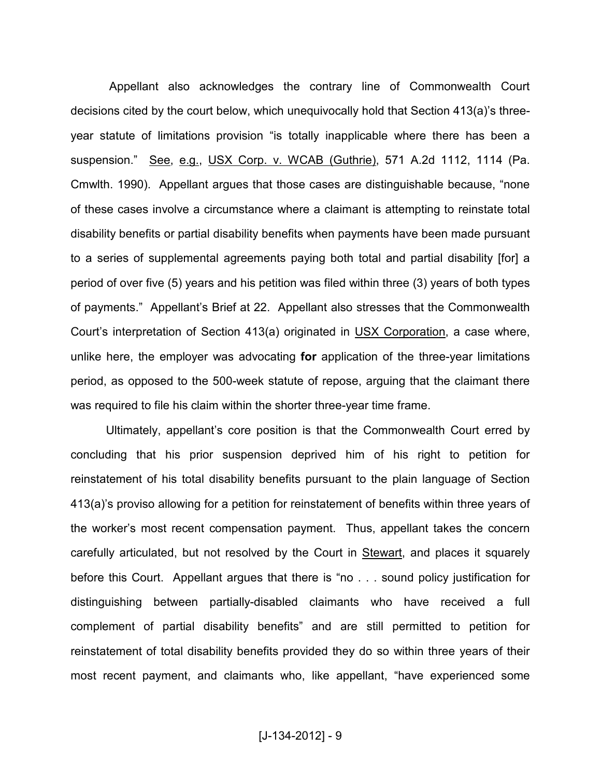Appellant also acknowledges the contrary line of Commonwealth Court decisions cited by the court below, which unequivocally hold that Section 413(a)'s threeyear statute of limitations provision "is totally inapplicable where there has been a suspension." See, e.g., USX Corp. v. WCAB (Guthrie), 571 A.2d 1112, 1114 (Pa. Cmwlth. 1990). Appellant argues that those cases are distinguishable because, "none of these cases involve a circumstance where a claimant is attempting to reinstate total disability benefits or partial disability benefits when payments have been made pursuant to a series of supplemental agreements paying both total and partial disability [for] a period of over five (5) years and his petition was filed within three (3) years of both types of payments." Appellant's Brief at 22. Appellant also stresses that the Commonwealth Court's interpretation of Section 413(a) originated in USX Corporation, a case where, unlike here, the employer was advocating **for** application of the three-year limitations period, as opposed to the 500-week statute of repose, arguing that the claimant there was required to file his claim within the shorter three-year time frame.

Ultimately, appellant's core position is that the Commonwealth Court erred by concluding that his prior suspension deprived him of his right to petition for reinstatement of his total disability benefits pursuant to the plain language of Section 413(a)'s proviso allowing for a petition for reinstatement of benefits within three years of the worker's most recent compensation payment. Thus, appellant takes the concern carefully articulated, but not resolved by the Court in Stewart, and places it squarely before this Court. Appellant argues that there is "no . . . sound policy justification for distinguishing between partially-disabled claimants who have received a full complement of partial disability benefits" and are still permitted to petition for reinstatement of total disability benefits provided they do so within three years of their most recent payment, and claimants who, like appellant, "have experienced some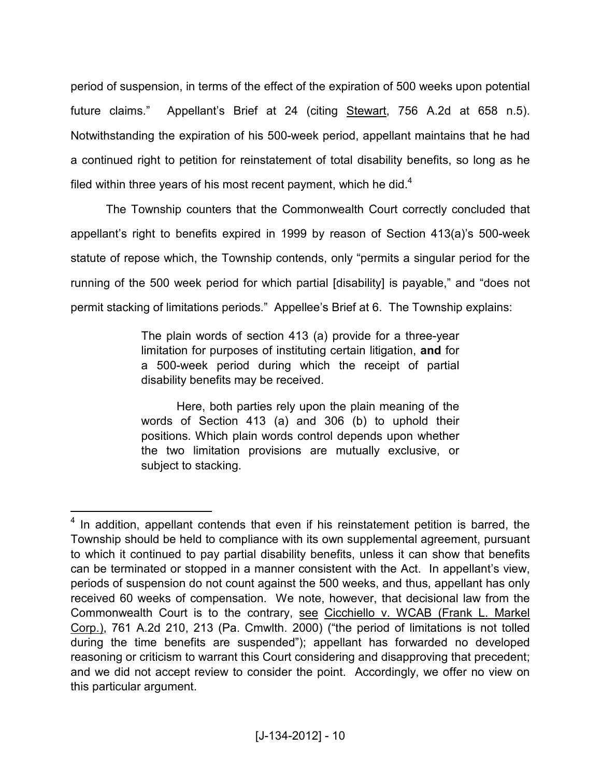period of suspension, in terms of the effect of the expiration of 500 weeks upon potential future claims." Appellant's Brief at 24 (citing Stewart, 756 A.2d at 658 n.5). Notwithstanding the expiration of his 500-week period, appellant maintains that he had a continued right to petition for reinstatement of total disability benefits, so long as he filed within three years of his most recent payment, which he did. $4$ 

The Township counters that the Commonwealth Court correctly concluded that appellant's right to benefits expired in 1999 by reason of Section 413(a)'s 500-week statute of repose which, the Township contends, only "permits a singular period for the running of the 500 week period for which partial [disability] is payable," and "does not permit stacking of limitations periods." Appellee's Brief at 6. The Township explains:

> The plain words of section 413 (a) provide for a three-year limitation for purposes of instituting certain litigation, **and** for a 500-week period during which the receipt of partial disability benefits may be received.

> Here, both parties rely upon the plain meaning of the words of Section 413 (a) and 306 (b) to uphold their positions. Which plain words control depends upon whether the two limitation provisions are mutually exclusive, or subject to stacking.

<u>.</u>

 $4$  In addition, appellant contends that even if his reinstatement petition is barred, the Township should be held to compliance with its own supplemental agreement, pursuant to which it continued to pay partial disability benefits, unless it can show that benefits can be terminated or stopped in a manner consistent with the Act. In appellant's view, periods of suspension do not count against the 500 weeks, and thus, appellant has only received 60 weeks of compensation. We note, however, that decisional law from the Commonwealth Court is to the contrary, see Cicchiello v. WCAB (Frank L. Markel Corp.), 761 A.2d 210, 213 (Pa. Cmwlth. 2000) ("the period of limitations is not tolled during the time benefits are suspended"); appellant has forwarded no developed reasoning or criticism to warrant this Court considering and disapproving that precedent; and we did not accept review to consider the point. Accordingly, we offer no view on this particular argument.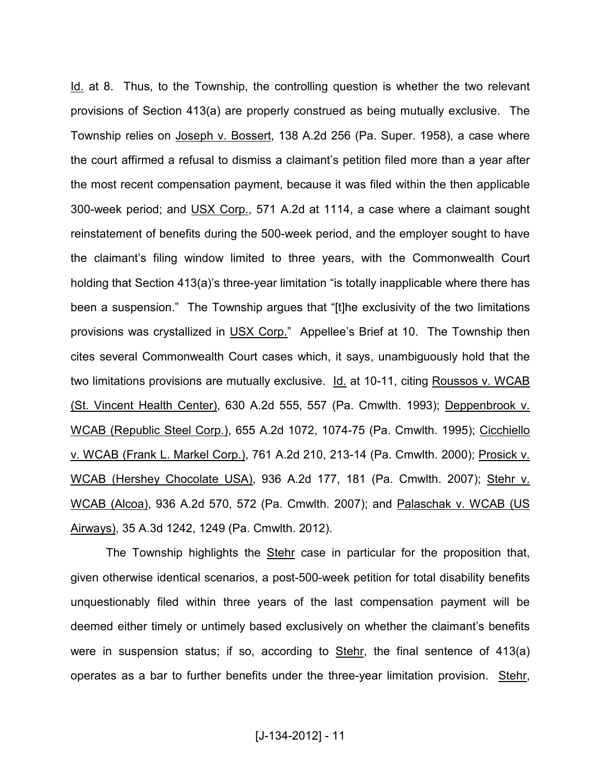Id. at 8. Thus, to the Township, the controlling question is whether the two relevant provisions of Section 413(a) are properly construed as being mutually exclusive. The Township relies on Joseph v. Bossert, 138 A.2d 256 (Pa. Super. 1958), a case where the court affirmed a refusal to dismiss a claimant's petition filed more than a year after the most recent compensation payment, because it was filed within the then applicable 300-week period; and USX Corp., 571 A.2d at 1114, a case where a claimant sought reinstatement of benefits during the 500-week period, and the employer sought to have the claimant's filing window limited to three years, with the Commonwealth Court holding that Section 413(a)'s three-year limitation "is totally inapplicable where there has been a suspension." The Township argues that "[t]he exclusivity of the two limitations provisions was crystallized in USX Corp." Appellee's Brief at 10. The Township then cites several Commonwealth Court cases which, it says, unambiguously hold that the two limitations provisions are mutually exclusive. Id. at 10-11, citing Roussos v. WCAB (St. Vincent Health Center), 630 A.2d 555, 557 (Pa. Cmwlth. 1993); Deppenbrook v. WCAB (Republic Steel Corp.), 655 A.2d 1072, 1074-75 (Pa. Cmwlth. 1995); Cicchiello v. WCAB (Frank L. Markel Corp.), 761 A.2d 210, 213-14 (Pa. Cmwlth. 2000); Prosick v. WCAB (Hershey Chocolate USA), 936 A.2d 177, 181 (Pa. Cmwlth. 2007); Stehr v. WCAB (Alcoa), 936 A.2d 570, 572 (Pa. Cmwlth. 2007); and Palaschak v. WCAB (US Airways), 35 A.3d 1242, 1249 (Pa. Cmwlth. 2012).

The Township highlights the Stehr case in particular for the proposition that, given otherwise identical scenarios, a post-500-week petition for total disability benefits unquestionably filed within three years of the last compensation payment will be deemed either timely or untimely based exclusively on whether the claimant's benefits were in suspension status; if so, according to Stehr, the final sentence of 413(a) operates as a bar to further benefits under the three-year limitation provision. Stehr,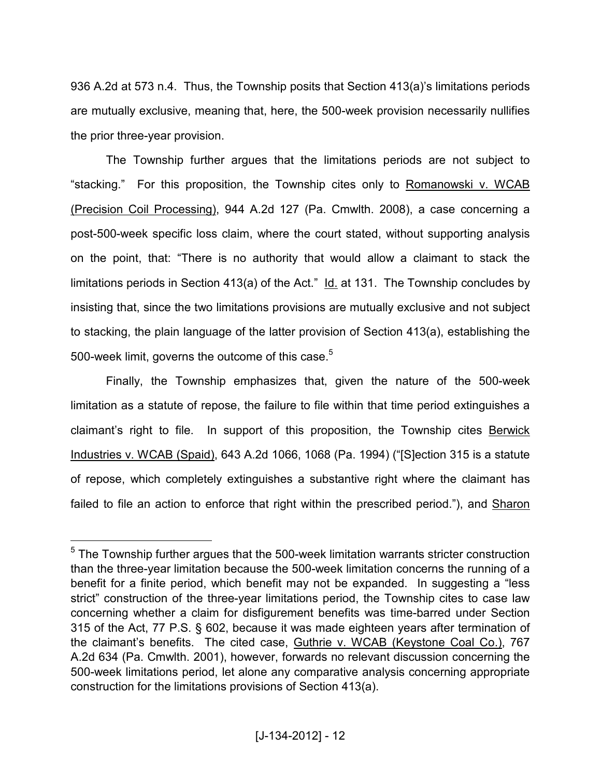936 A.2d at 573 n.4. Thus, the Township posits that Section 413(a)'s limitations periods are mutually exclusive, meaning that, here, the 500-week provision necessarily nullifies the prior three-year provision.

 The Township further argues that the limitations periods are not subject to "stacking." For this proposition, the Township cites only to Romanowski v. WCAB (Precision Coil Processing), 944 A.2d 127 (Pa. Cmwlth. 2008), a case concerning a post-500-week specific loss claim, where the court stated, without supporting analysis on the point, that: "There is no authority that would allow a claimant to stack the limitations periods in Section 413(a) of the Act." Id. at 131. The Township concludes by insisting that, since the two limitations provisions are mutually exclusive and not subject to stacking, the plain language of the latter provision of Section 413(a), establishing the 500-week limit, governs the outcome of this case.<sup>5</sup>

 Finally, the Township emphasizes that, given the nature of the 500-week limitation as a statute of repose, the failure to file within that time period extinguishes a claimant's right to file. In support of this proposition, the Township cites Berwick Industries v. WCAB (Spaid), 643 A.2d 1066, 1068 (Pa. 1994) ("[S]ection 315 is a statute of repose, which completely extinguishes a substantive right where the claimant has failed to file an action to enforce that right within the prescribed period."), and Sharon

 $\overline{a}$ 

 $<sup>5</sup>$  The Township further argues that the 500-week limitation warrants stricter construction</sup> than the three-year limitation because the 500-week limitation concerns the running of a benefit for a finite period, which benefit may not be expanded. In suggesting a "less strict" construction of the three-year limitations period, the Township cites to case law concerning whether a claim for disfigurement benefits was time-barred under Section 315 of the Act, 77 P.S. § 602, because it was made eighteen years after termination of the claimant's benefits. The cited case, Guthrie v. WCAB (Keystone Coal Co.), 767 A.2d 634 (Pa. Cmwlth. 2001), however, forwards no relevant discussion concerning the 500-week limitations period, let alone any comparative analysis concerning appropriate construction for the limitations provisions of Section 413(a).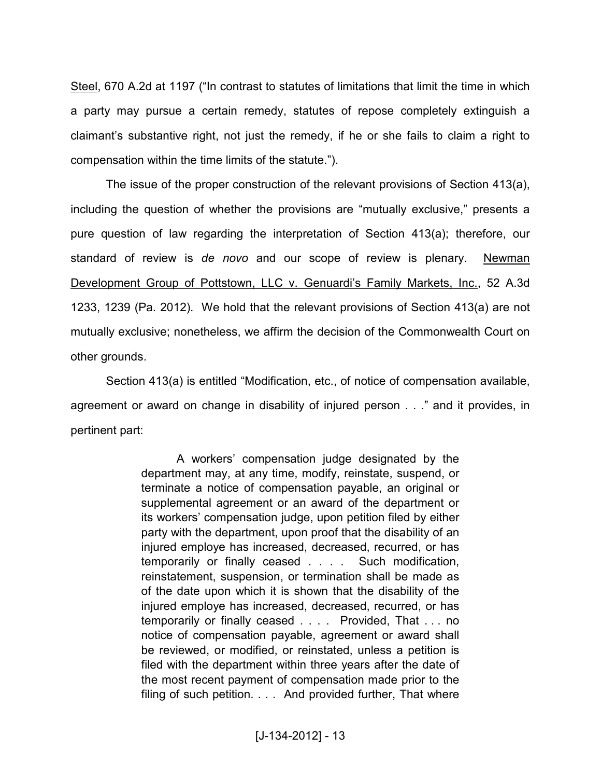Steel, 670 A.2d at 1197 ("In contrast to statutes of limitations that limit the time in which a party may pursue a certain remedy, statutes of repose completely extinguish a claimant's substantive right, not just the remedy, if he or she fails to claim a right to compensation within the time limits of the statute.").

The issue of the proper construction of the relevant provisions of Section 413(a), including the question of whether the provisions are "mutually exclusive," presents a pure question of law regarding the interpretation of Section 413(a); therefore, our standard of review is *de novo* and our scope of review is plenary. Newman Development Group of Pottstown, LLC v. Genuardi's Family Markets, Inc., 52 A.3d 1233, 1239 (Pa. 2012). We hold that the relevant provisions of Section 413(a) are not mutually exclusive; nonetheless, we affirm the decision of the Commonwealth Court on other grounds.

Section 413(a) is entitled "Modification, etc., of notice of compensation available, agreement or award on change in disability of injured person . . ." and it provides, in pertinent part:

> A workers' compensation judge designated by the department may, at any time, modify, reinstate, suspend, or terminate a notice of compensation payable, an original or supplemental agreement or an award of the department or its workers' compensation judge, upon petition filed by either party with the department, upon proof that the disability of an injured employe has increased, decreased, recurred, or has temporarily or finally ceased . . . . Such modification, reinstatement, suspension, or termination shall be made as of the date upon which it is shown that the disability of the injured employe has increased, decreased, recurred, or has temporarily or finally ceased . . . . Provided, That . . . no notice of compensation payable, agreement or award shall be reviewed, or modified, or reinstated, unless a petition is filed with the department within three years after the date of the most recent payment of compensation made prior to the filing of such petition. . . . And provided further, That where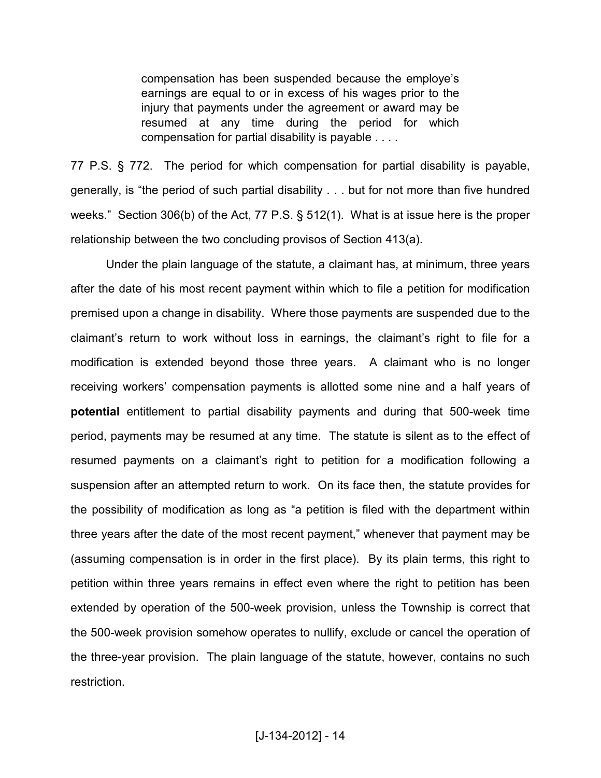compensation has been suspended because the employe's earnings are equal to or in excess of his wages prior to the injury that payments under the agreement or award may be resumed at any time during the period for which compensation for partial disability is payable . . . .

77 P.S. § 772. The period for which compensation for partial disability is payable, generally, is "the period of such partial disability . . . but for not more than five hundred weeks." Section 306(b) of the Act, 77 P.S. § 512(1). What is at issue here is the proper relationship between the two concluding provisos of Section 413(a).

Under the plain language of the statute, a claimant has, at minimum, three years after the date of his most recent payment within which to file a petition for modification premised upon a change in disability. Where those payments are suspended due to the claimant's return to work without loss in earnings, the claimant's right to file for a modification is extended beyond those three years. A claimant who is no longer receiving workers' compensation payments is allotted some nine and a half years of **potential** entitlement to partial disability payments and during that 500-week time period, payments may be resumed at any time. The statute is silent as to the effect of resumed payments on a claimant's right to petition for a modification following a suspension after an attempted return to work. On its face then, the statute provides for the possibility of modification as long as "a petition is filed with the department within three years after the date of the most recent payment," whenever that payment may be (assuming compensation is in order in the first place). By its plain terms, this right to petition within three years remains in effect even where the right to petition has been extended by operation of the 500-week provision, unless the Township is correct that the 500-week provision somehow operates to nullify, exclude or cancel the operation of the three-year provision. The plain language of the statute, however, contains no such restriction.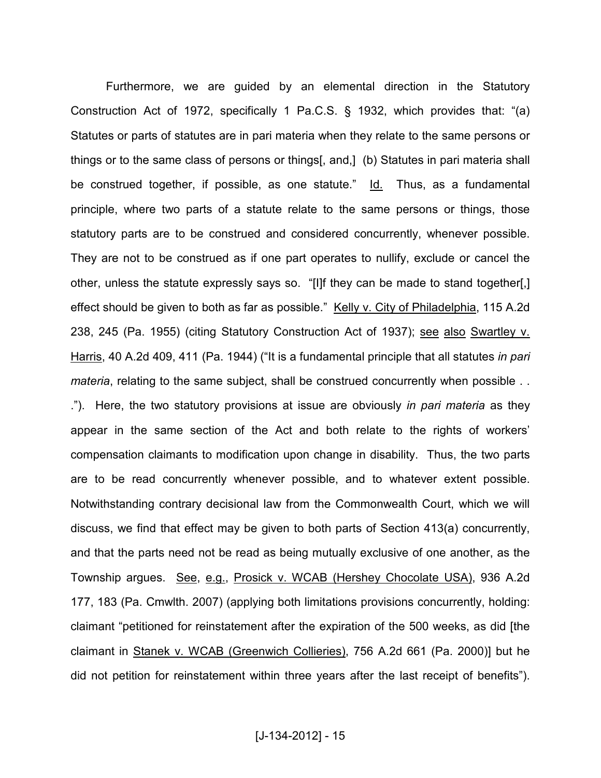Furthermore, we are guided by an elemental direction in the Statutory Construction Act of 1972, specifically 1 Pa.C.S. § 1932, which provides that: "(a) Statutes or parts of statutes are in pari materia when they relate to the same persons or things or to the same class of persons or things[, and,] (b) Statutes in pari materia shall be construed together, if possible, as one statute." Id. Thus, as a fundamental principle, where two parts of a statute relate to the same persons or things, those statutory parts are to be construed and considered concurrently, whenever possible. They are not to be construed as if one part operates to nullify, exclude or cancel the other, unless the statute expressly says so. "[I]f they can be made to stand together[,] effect should be given to both as far as possible." Kelly v. City of Philadelphia, 115 A.2d 238, 245 (Pa. 1955) (citing Statutory Construction Act of 1937); see also Swartley v. Harris, 40 A.2d 409, 411 (Pa. 1944) ("It is a fundamental principle that all statutes *in pari materia*, relating to the same subject, shall be construed concurrently when possible ... ."). Here, the two statutory provisions at issue are obviously *in pari materia* as they appear in the same section of the Act and both relate to the rights of workers' compensation claimants to modification upon change in disability. Thus, the two parts are to be read concurrently whenever possible, and to whatever extent possible. Notwithstanding contrary decisional law from the Commonwealth Court, which we will discuss, we find that effect may be given to both parts of Section 413(a) concurrently, and that the parts need not be read as being mutually exclusive of one another, as the Township argues. See, e.g., Prosick v. WCAB (Hershey Chocolate USA), 936 A.2d 177, 183 (Pa. Cmwlth. 2007) (applying both limitations provisions concurrently, holding: claimant "petitioned for reinstatement after the expiration of the 500 weeks, as did [the claimant in Stanek v. WCAB (Greenwich Collieries), 756 A.2d 661 (Pa. 2000)] but he did not petition for reinstatement within three years after the last receipt of benefits").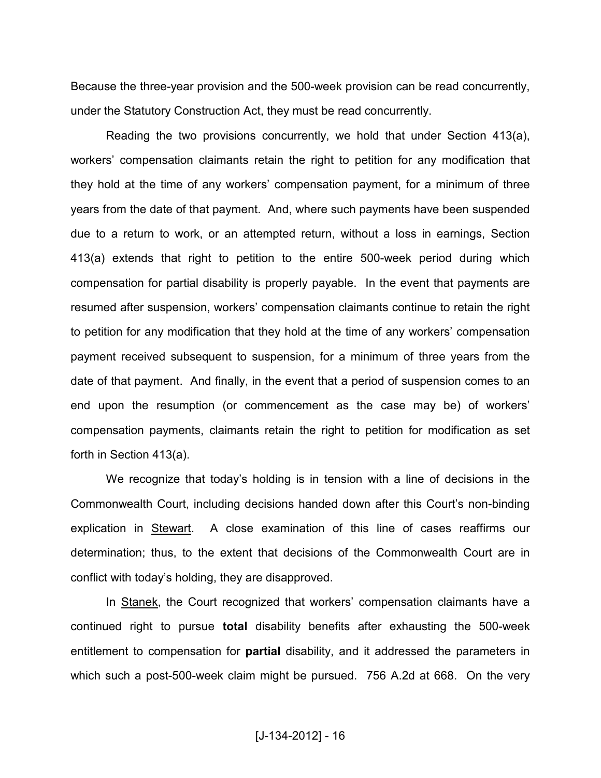Because the three-year provision and the 500-week provision can be read concurrently, under the Statutory Construction Act, they must be read concurrently.

Reading the two provisions concurrently, we hold that under Section 413(a), workers' compensation claimants retain the right to petition for any modification that they hold at the time of any workers' compensation payment, for a minimum of three years from the date of that payment. And, where such payments have been suspended due to a return to work, or an attempted return, without a loss in earnings, Section 413(a) extends that right to petition to the entire 500-week period during which compensation for partial disability is properly payable. In the event that payments are resumed after suspension, workers' compensation claimants continue to retain the right to petition for any modification that they hold at the time of any workers' compensation payment received subsequent to suspension, for a minimum of three years from the date of that payment. And finally, in the event that a period of suspension comes to an end upon the resumption (or commencement as the case may be) of workers' compensation payments, claimants retain the right to petition for modification as set forth in Section 413(a).

We recognize that today's holding is in tension with a line of decisions in the Commonwealth Court, including decisions handed down after this Court's non-binding explication in Stewart. A close examination of this line of cases reaffirms our determination; thus, to the extent that decisions of the Commonwealth Court are in conflict with today's holding, they are disapproved.

In Stanek, the Court recognized that workers' compensation claimants have a continued right to pursue **total** disability benefits after exhausting the 500-week entitlement to compensation for **partial** disability, and it addressed the parameters in which such a post-500-week claim might be pursued. 756 A.2d at 668. On the very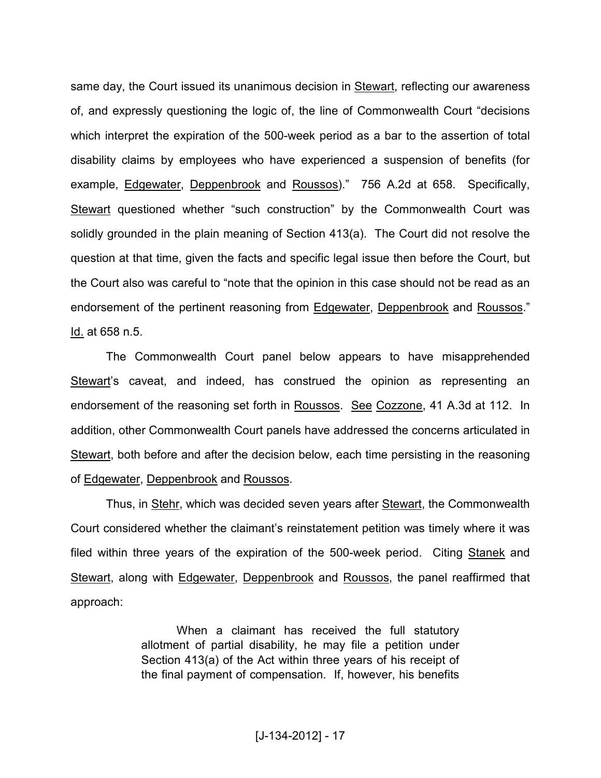same day, the Court issued its unanimous decision in Stewart, reflecting our awareness of, and expressly questioning the logic of, the line of Commonwealth Court "decisions which interpret the expiration of the 500-week period as a bar to the assertion of total disability claims by employees who have experienced a suspension of benefits (for example, Edgewater, Deppenbrook and Roussos)." 756 A.2d at 658. Specifically, Stewart questioned whether "such construction" by the Commonwealth Court was solidly grounded in the plain meaning of Section 413(a). The Court did not resolve the question at that time, given the facts and specific legal issue then before the Court, but the Court also was careful to "note that the opinion in this case should not be read as an endorsement of the pertinent reasoning from Edgewater, Deppenbrook and Roussos." Id. at 658 n.5.

The Commonwealth Court panel below appears to have misapprehended Stewart's caveat, and indeed, has construed the opinion as representing an endorsement of the reasoning set forth in Roussos. See Cozzone, 41 A.3d at 112. In addition, other Commonwealth Court panels have addressed the concerns articulated in Stewart, both before and after the decision below, each time persisting in the reasoning of Edgewater, Deppenbrook and Roussos.

Thus, in Stehr, which was decided seven years after Stewart, the Commonwealth Court considered whether the claimant's reinstatement petition was timely where it was filed within three years of the expiration of the 500-week period. Citing Stanek and Stewart, along with Edgewater, Deppenbrook and Roussos, the panel reaffirmed that approach:

> When a claimant has received the full statutory allotment of partial disability, he may file a petition under Section 413(a) of the Act within three years of his receipt of the final payment of compensation. If, however, his benefits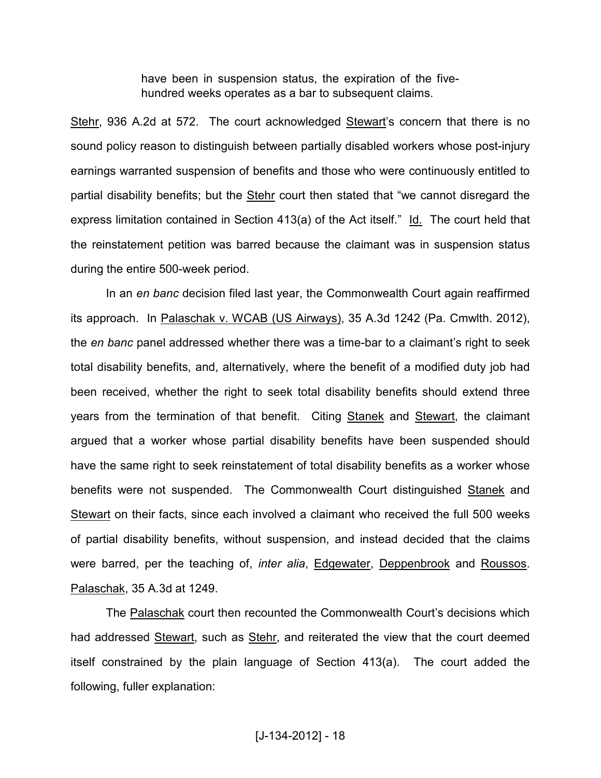have been in suspension status, the expiration of the fivehundred weeks operates as a bar to subsequent claims.

Stehr, 936 A.2d at 572. The court acknowledged Stewart's concern that there is no sound policy reason to distinguish between partially disabled workers whose post-injury earnings warranted suspension of benefits and those who were continuously entitled to partial disability benefits; but the Stehr court then stated that "we cannot disregard the express limitation contained in Section 413(a) of the Act itself." Id. The court held that the reinstatement petition was barred because the claimant was in suspension status during the entire 500-week period.

 In an *en banc* decision filed last year, the Commonwealth Court again reaffirmed its approach. In Palaschak v. WCAB (US Airways), 35 A.3d 1242 (Pa. Cmwlth. 2012), the *en banc* panel addressed whether there was a time-bar to a claimant's right to seek total disability benefits, and, alternatively, where the benefit of a modified duty job had been received, whether the right to seek total disability benefits should extend three years from the termination of that benefit. Citing Stanek and Stewart, the claimant argued that a worker whose partial disability benefits have been suspended should have the same right to seek reinstatement of total disability benefits as a worker whose benefits were not suspended. The Commonwealth Court distinguished Stanek and Stewart on their facts, since each involved a claimant who received the full 500 weeks of partial disability benefits, without suspension, and instead decided that the claims were barred, per the teaching of, *inter alia*, Edgewater, Deppenbrook and Roussos. Palaschak, 35 A.3d at 1249.

The Palaschak court then recounted the Commonwealth Court's decisions which had addressed Stewart, such as Stehr, and reiterated the view that the court deemed itself constrained by the plain language of Section 413(a). The court added the following, fuller explanation: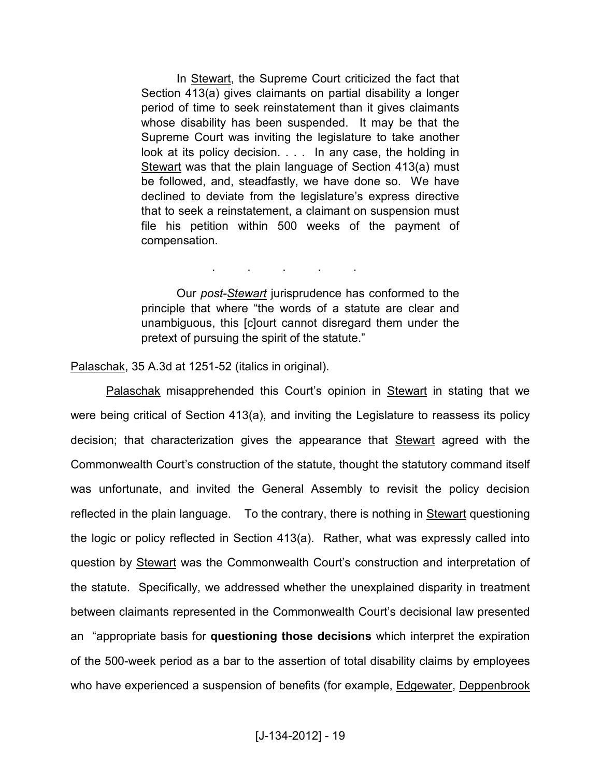In Stewart, the Supreme Court criticized the fact that Section 413(a) gives claimants on partial disability a longer period of time to seek reinstatement than it gives claimants whose disability has been suspended. It may be that the Supreme Court was inviting the legislature to take another look at its policy decision. . . . In any case, the holding in Stewart was that the plain language of Section 413(a) must be followed, and, steadfastly, we have done so. We have declined to deviate from the legislature's express directive that to seek a reinstatement, a claimant on suspension must file his petition within 500 weeks of the payment of compensation.

. . . . .

Our *post-Stewart* jurisprudence has conformed to the principle that where "the words of a statute are clear and unambiguous, this [c]ourt cannot disregard them under the pretext of pursuing the spirit of the statute."

Palaschak, 35 A.3d at 1251-52 (italics in original).

Palaschak misapprehended this Court's opinion in Stewart in stating that we were being critical of Section 413(a), and inviting the Legislature to reassess its policy decision; that characterization gives the appearance that Stewart agreed with the Commonwealth Court's construction of the statute, thought the statutory command itself was unfortunate, and invited the General Assembly to revisit the policy decision reflected in the plain language. To the contrary, there is nothing in Stewart questioning the logic or policy reflected in Section 413(a). Rather, what was expressly called into question by Stewart was the Commonwealth Court's construction and interpretation of the statute. Specifically, we addressed whether the unexplained disparity in treatment between claimants represented in the Commonwealth Court's decisional law presented an "appropriate basis for **questioning those decisions** which interpret the expiration of the 500-week period as a bar to the assertion of total disability claims by employees who have experienced a suspension of benefits (for example, Edgewater, Deppenbrook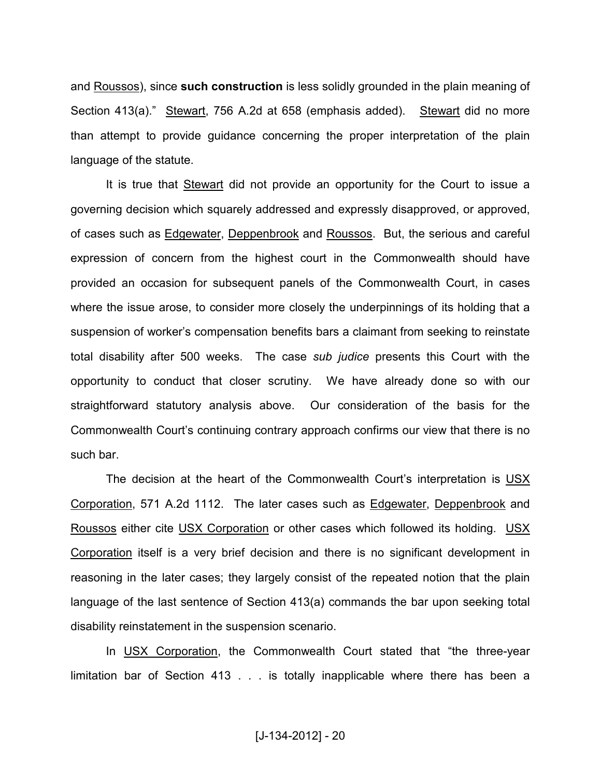and Roussos), since **such construction** is less solidly grounded in the plain meaning of Section 413(a)." Stewart, 756 A.2d at 658 (emphasis added). Stewart did no more than attempt to provide guidance concerning the proper interpretation of the plain language of the statute.

 It is true that Stewart did not provide an opportunity for the Court to issue a governing decision which squarely addressed and expressly disapproved, or approved, of cases such as Edgewater, Deppenbrook and Roussos. But, the serious and careful expression of concern from the highest court in the Commonwealth should have provided an occasion for subsequent panels of the Commonwealth Court, in cases where the issue arose, to consider more closely the underpinnings of its holding that a suspension of worker's compensation benefits bars a claimant from seeking to reinstate total disability after 500 weeks. The case *sub judice* presents this Court with the opportunity to conduct that closer scrutiny. We have already done so with our straightforward statutory analysis above. Our consideration of the basis for the Commonwealth Court's continuing contrary approach confirms our view that there is no such bar.

The decision at the heart of the Commonwealth Court's interpretation is USX Corporation, 571 A.2d 1112. The later cases such as Edgewater, Deppenbrook and Roussos either cite USX Corporation or other cases which followed its holding. USX Corporation itself is a very brief decision and there is no significant development in reasoning in the later cases; they largely consist of the repeated notion that the plain language of the last sentence of Section 413(a) commands the bar upon seeking total disability reinstatement in the suspension scenario.

In USX Corporation, the Commonwealth Court stated that "the three-year limitation bar of Section 413 . . . is totally inapplicable where there has been a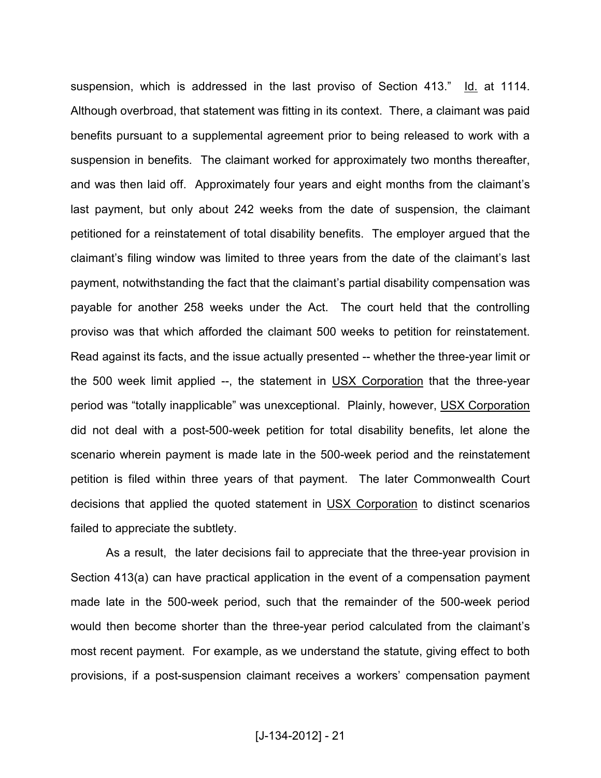suspension, which is addressed in the last proviso of Section 413." Id. at 1114. Although overbroad, that statement was fitting in its context. There, a claimant was paid benefits pursuant to a supplemental agreement prior to being released to work with a suspension in benefits. The claimant worked for approximately two months thereafter, and was then laid off. Approximately four years and eight months from the claimant's last payment, but only about 242 weeks from the date of suspension, the claimant petitioned for a reinstatement of total disability benefits. The employer argued that the claimant's filing window was limited to three years from the date of the claimant's last payment, notwithstanding the fact that the claimant's partial disability compensation was payable for another 258 weeks under the Act. The court held that the controlling proviso was that which afforded the claimant 500 weeks to petition for reinstatement. Read against its facts, and the issue actually presented -- whether the three-year limit or the 500 week limit applied --, the statement in USX Corporation that the three-year period was "totally inapplicable" was unexceptional. Plainly, however, USX Corporation did not deal with a post-500-week petition for total disability benefits, let alone the scenario wherein payment is made late in the 500-week period and the reinstatement petition is filed within three years of that payment. The later Commonwealth Court decisions that applied the quoted statement in USX Corporation to distinct scenarios failed to appreciate the subtlety.

As a result, the later decisions fail to appreciate that the three-year provision in Section 413(a) can have practical application in the event of a compensation payment made late in the 500-week period, such that the remainder of the 500-week period would then become shorter than the three-year period calculated from the claimant's most recent payment. For example, as we understand the statute, giving effect to both provisions, if a post-suspension claimant receives a workers' compensation payment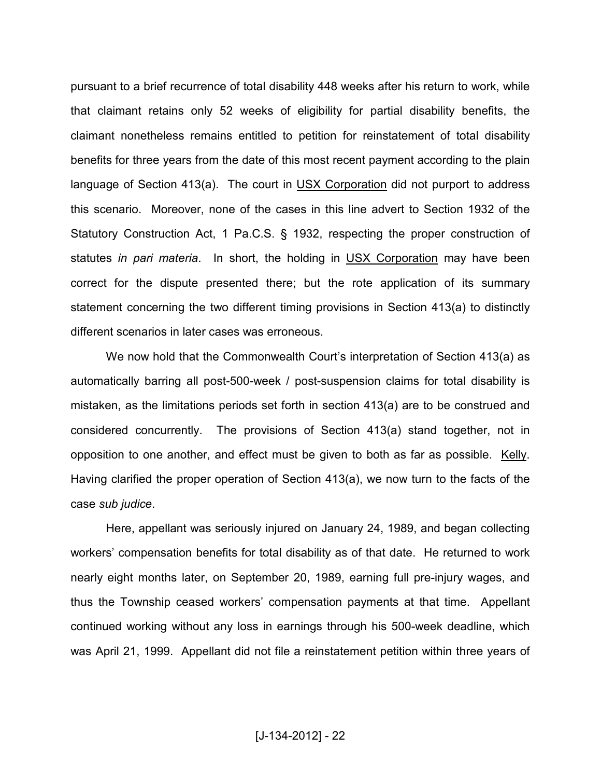pursuant to a brief recurrence of total disability 448 weeks after his return to work, while that claimant retains only 52 weeks of eligibility for partial disability benefits, the claimant nonetheless remains entitled to petition for reinstatement of total disability benefits for three years from the date of this most recent payment according to the plain language of Section 413(a). The court in USX Corporation did not purport to address this scenario. Moreover, none of the cases in this line advert to Section 1932 of the Statutory Construction Act, 1 Pa.C.S. § 1932, respecting the proper construction of statutes *in pari materia*. In short, the holding in USX Corporation may have been correct for the dispute presented there; but the rote application of its summary statement concerning the two different timing provisions in Section 413(a) to distinctly different scenarios in later cases was erroneous.

We now hold that the Commonwealth Court's interpretation of Section 413(a) as automatically barring all post-500-week / post-suspension claims for total disability is mistaken, as the limitations periods set forth in section 413(a) are to be construed and considered concurrently. The provisions of Section 413(a) stand together, not in opposition to one another, and effect must be given to both as far as possible. Kelly. Having clarified the proper operation of Section 413(a), we now turn to the facts of the case *sub judice*.

 Here, appellant was seriously injured on January 24, 1989, and began collecting workers' compensation benefits for total disability as of that date. He returned to work nearly eight months later, on September 20, 1989, earning full pre-injury wages, and thus the Township ceased workers' compensation payments at that time. Appellant continued working without any loss in earnings through his 500-week deadline, which was April 21, 1999. Appellant did not file a reinstatement petition within three years of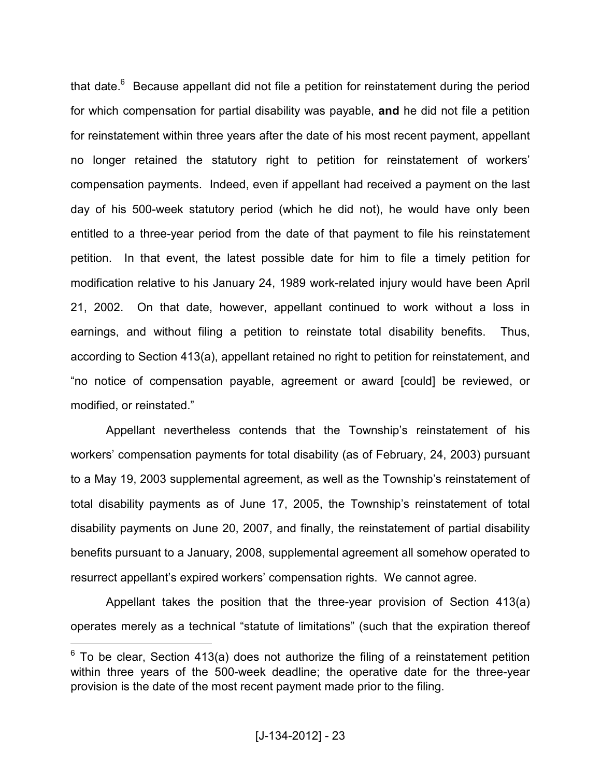that date.<sup>6</sup> Because appellant did not file a petition for reinstatement during the period for which compensation for partial disability was payable, **and** he did not file a petition for reinstatement within three years after the date of his most recent payment, appellant no longer retained the statutory right to petition for reinstatement of workers' compensation payments. Indeed, even if appellant had received a payment on the last day of his 500-week statutory period (which he did not), he would have only been entitled to a three-year period from the date of that payment to file his reinstatement petition. In that event, the latest possible date for him to file a timely petition for modification relative to his January 24, 1989 work-related injury would have been April 21, 2002. On that date, however, appellant continued to work without a loss in earnings, and without filing a petition to reinstate total disability benefits. Thus, according to Section 413(a), appellant retained no right to petition for reinstatement, and "no notice of compensation payable, agreement or award [could] be reviewed, or modified, or reinstated."

 Appellant nevertheless contends that the Township's reinstatement of his workers' compensation payments for total disability (as of February, 24, 2003) pursuant to a May 19, 2003 supplemental agreement, as well as the Township's reinstatement of total disability payments as of June 17, 2005, the Township's reinstatement of total disability payments on June 20, 2007, and finally, the reinstatement of partial disability benefits pursuant to a January, 2008, supplemental agreement all somehow operated to resurrect appellant's expired workers' compensation rights. We cannot agree.

Appellant takes the position that the three-year provision of Section 413(a) operates merely as a technical "statute of limitations" (such that the expiration thereof

 $\overline{a}$ 

 $6$  To be clear, Section 413(a) does not authorize the filing of a reinstatement petition within three years of the 500-week deadline; the operative date for the three-year provision is the date of the most recent payment made prior to the filing.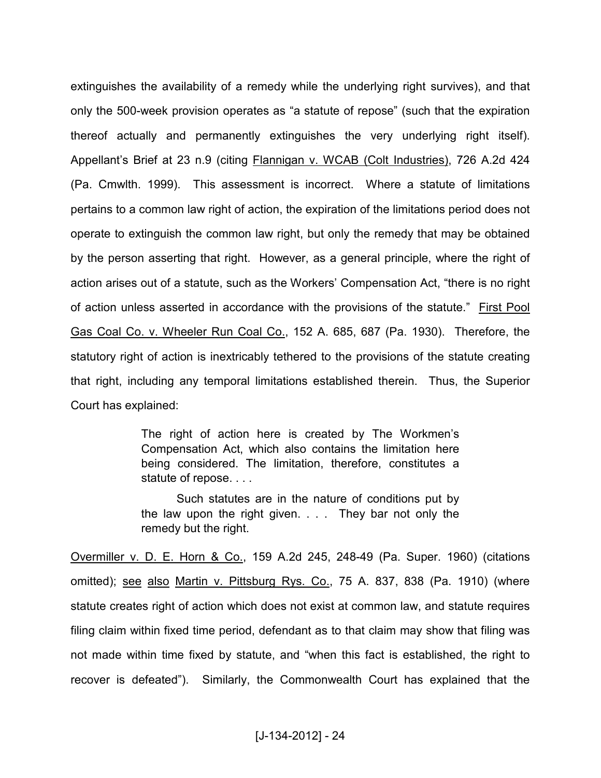extinguishes the availability of a remedy while the underlying right survives), and that only the 500-week provision operates as "a statute of repose" (such that the expiration thereof actually and permanently extinguishes the very underlying right itself). Appellant's Brief at 23 n.9 (citing Flannigan v. WCAB (Colt Industries), 726 A.2d 424 (Pa. Cmwlth. 1999). This assessment is incorrect. Where a statute of limitations pertains to a common law right of action, the expiration of the limitations period does not operate to extinguish the common law right, but only the remedy that may be obtained by the person asserting that right. However, as a general principle, where the right of action arises out of a statute, such as the Workers' Compensation Act, "there is no right of action unless asserted in accordance with the provisions of the statute." First Pool Gas Coal Co. v. Wheeler Run Coal Co., 152 A. 685, 687 (Pa. 1930). Therefore, the statutory right of action is inextricably tethered to the provisions of the statute creating that right, including any temporal limitations established therein. Thus, the Superior Court has explained:

> The right of action here is created by The Workmen's Compensation Act, which also contains the limitation here being considered. The limitation, therefore, constitutes a statute of repose. . . .

> Such statutes are in the nature of conditions put by the law upon the right given. . . . They bar not only the remedy but the right.

Overmiller v. D. E. Horn & Co., 159 A.2d 245, 248-49 (Pa. Super. 1960) (citations omitted); see also Martin v. Pittsburg Rys. Co., 75 A. 837, 838 (Pa. 1910) (where statute creates right of action which does not exist at common law, and statute requires filing claim within fixed time period, defendant as to that claim may show that filing was not made within time fixed by statute, and "when this fact is established, the right to recover is defeated"). Similarly, the Commonwealth Court has explained that the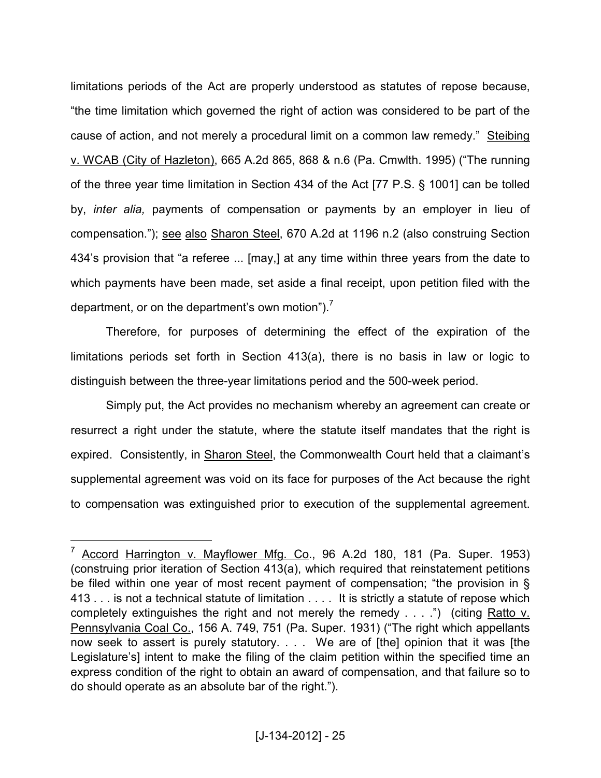limitations periods of the Act are properly understood as statutes of repose because, "the time limitation which governed the right of action was considered to be part of the cause of action, and not merely a procedural limit on a common law remedy." Steibing v. WCAB (City of Hazleton), 665 A.2d 865, 868 & n.6 (Pa. Cmwlth. 1995) ("The running of the three year time limitation in Section 434 of the Act [77 P.S. § 1001] can be tolled by, *inter alia,* payments of compensation or payments by an employer in lieu of compensation."); see also Sharon Steel, 670 A.2d at 1196 n.2 (also construing Section 434's provision that "a referee ... [may,] at any time within three years from the date to which payments have been made, set aside a final receipt, upon petition filed with the department, or on the department's own motion").<sup>7</sup>

Therefore, for purposes of determining the effect of the expiration of the limitations periods set forth in Section 413(a), there is no basis in law or logic to distinguish between the three-year limitations period and the 500-week period.

Simply put, the Act provides no mechanism whereby an agreement can create or resurrect a right under the statute, where the statute itself mandates that the right is expired. Consistently, in Sharon Steel, the Commonwealth Court held that a claimant's supplemental agreement was void on its face for purposes of the Act because the right to compensation was extinguished prior to execution of the supplemental agreement.

 $\overline{a}$ 

<sup>7</sup> Accord Harrington v. Mayflower Mfg. Co., 96 A.2d 180, 181 (Pa. Super. 1953) (construing prior iteration of Section 413(a), which required that reinstatement petitions be filed within one year of most recent payment of compensation; "the provision in § 413 . . . is not a technical statute of limitation . . . . It is strictly a statute of repose which completely extinguishes the right and not merely the remedy . . . .") (citing Ratto v. Pennsylvania Coal Co., 156 A. 749, 751 (Pa. Super. 1931) ("The right which appellants now seek to assert is purely statutory. . . . We are of [the] opinion that it was [the Legislature's] intent to make the filing of the claim petition within the specified time an express condition of the right to obtain an award of compensation, and that failure so to do should operate as an absolute bar of the right.").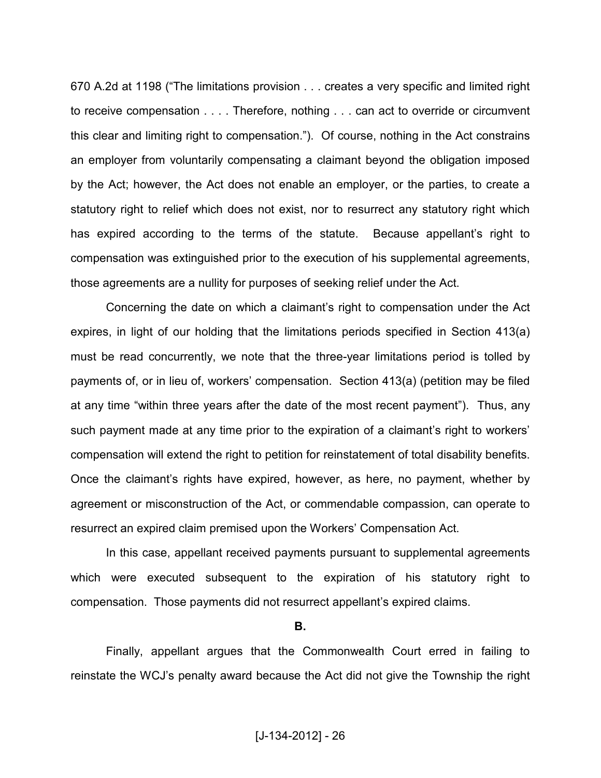670 A.2d at 1198 ("The limitations provision . . . creates a very specific and limited right to receive compensation . . . . Therefore, nothing . . . can act to override or circumvent this clear and limiting right to compensation."). Of course, nothing in the Act constrains an employer from voluntarily compensating a claimant beyond the obligation imposed by the Act; however, the Act does not enable an employer, or the parties, to create a statutory right to relief which does not exist, nor to resurrect any statutory right which has expired according to the terms of the statute. Because appellant's right to compensation was extinguished prior to the execution of his supplemental agreements, those agreements are a nullity for purposes of seeking relief under the Act.

Concerning the date on which a claimant's right to compensation under the Act expires, in light of our holding that the limitations periods specified in Section 413(a) must be read concurrently, we note that the three-year limitations period is tolled by payments of, or in lieu of, workers' compensation. Section 413(a) (petition may be filed at any time "within three years after the date of the most recent payment"). Thus, any such payment made at any time prior to the expiration of a claimant's right to workers' compensation will extend the right to petition for reinstatement of total disability benefits. Once the claimant's rights have expired, however, as here, no payment, whether by agreement or misconstruction of the Act, or commendable compassion, can operate to resurrect an expired claim premised upon the Workers' Compensation Act.

In this case, appellant received payments pursuant to supplemental agreements which were executed subsequent to the expiration of his statutory right to compensation. Those payments did not resurrect appellant's expired claims.

**B.** 

Finally, appellant argues that the Commonwealth Court erred in failing to reinstate the WCJ's penalty award because the Act did not give the Township the right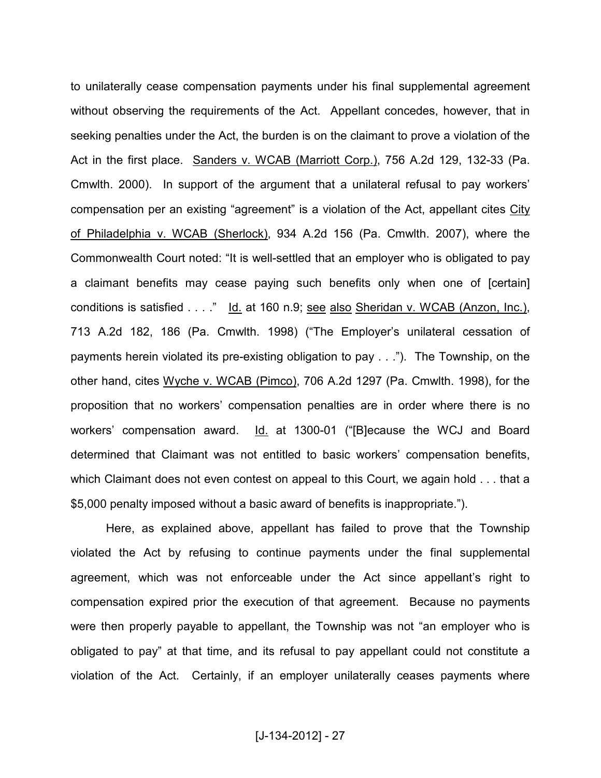to unilaterally cease compensation payments under his final supplemental agreement without observing the requirements of the Act. Appellant concedes, however, that in seeking penalties under the Act, the burden is on the claimant to prove a violation of the Act in the first place. Sanders v. WCAB (Marriott Corp.), 756 A.2d 129, 132-33 (Pa. Cmwlth. 2000). In support of the argument that a unilateral refusal to pay workers' compensation per an existing "agreement" is a violation of the Act, appellant cites City of Philadelphia v. WCAB (Sherlock), 934 A.2d 156 (Pa. Cmwlth. 2007), where the Commonwealth Court noted: "It is well-settled that an employer who is obligated to pay a claimant benefits may cease paying such benefits only when one of [certain] conditions is satisfied . . . ." Id. at 160 n.9; see also Sheridan v. WCAB (Anzon, Inc.), 713 A.2d 182, 186 (Pa. Cmwlth. 1998) ("The Employer's unilateral cessation of payments herein violated its pre-existing obligation to pay . . ."). The Township, on the other hand, cites Wyche v. WCAB (Pimco), 706 A.2d 1297 (Pa. Cmwlth. 1998), for the proposition that no workers' compensation penalties are in order where there is no workers' compensation award. Id. at 1300-01 ("[B]ecause the WCJ and Board determined that Claimant was not entitled to basic workers' compensation benefits, which Claimant does not even contest on appeal to this Court, we again hold . . . that a \$5,000 penalty imposed without a basic award of benefits is inappropriate.").

Here, as explained above, appellant has failed to prove that the Township violated the Act by refusing to continue payments under the final supplemental agreement, which was not enforceable under the Act since appellant's right to compensation expired prior the execution of that agreement. Because no payments were then properly payable to appellant, the Township was not "an employer who is obligated to pay" at that time, and its refusal to pay appellant could not constitute a violation of the Act. Certainly, if an employer unilaterally ceases payments where